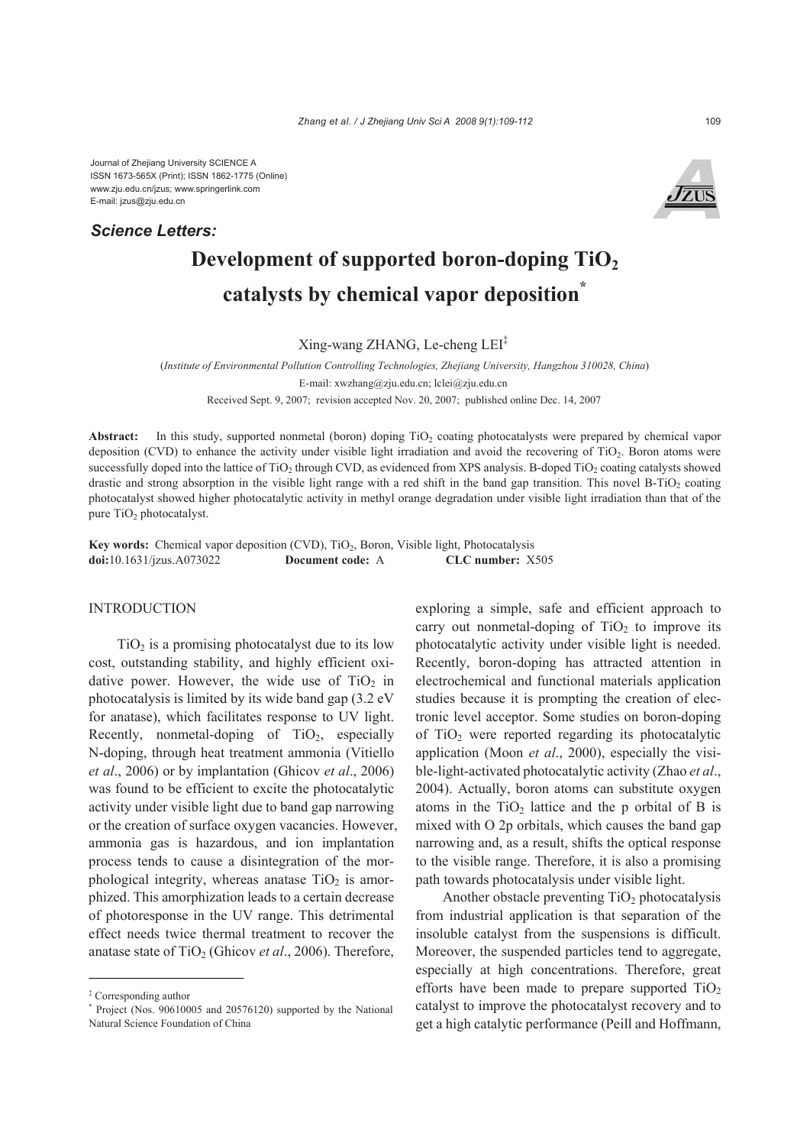Journal of Zhejiang University SCIENCE A ISSN 1673-565X (Print); ISSN 1862-1775 (Online) www.zju.edu.cn/jzus; www.springerlink.com E-mail: jzus@zju.edu.cn

*Science Letters:*



# **Development of supported boron-doping TiO2 catalysts by chemical vapor deposition\***

Xing-wang ZHANG, Le-cheng LEI‡

(*Institute of Environmental Pollution Controlling Technologies, Zhejiang University, Hangzhou 310028, China*) E-mail: xwzhang@zju.edu.cn; lclei@zju.edu.cn Received Sept. 9, 2007; revision accepted Nov. 20, 2007; published online Dec. 14, 2007

Abstract: In this study, supported nonmetal (boron) doping TiO<sub>2</sub> coating photocatalysts were prepared by chemical vapor deposition (CVD) to enhance the activity under visible light irradiation and avoid the recovering of  $TiO<sub>2</sub>$ . Boron atoms were successfully doped into the lattice of TiO<sub>2</sub> through CVD, as evidenced from XPS analysis. B-doped TiO<sub>2</sub> coating catalysts showed drastic and strong absorption in the visible light range with a red shift in the band gap transition. This novel B-TiO<sub>2</sub> coating photocatalyst showed higher photocatalytic activity in methyl orange degradation under visible light irradiation than that of the pure TiO<sub>2</sub> photocatalyst.

**Key words:** Chemical vapor deposition (CVD), TiO<sub>2</sub>, Boron, Visible light, Photocatalysis **doi:**10.1631/jzus.A073022 **Document code:** A **CLC number:** X505

# INTRODUCTION

 $TiO<sub>2</sub>$  is a promising photocatalyst due to its low cost, outstanding stability, and highly efficient oxidative power. However, the wide use of  $TiO<sub>2</sub>$  in photocatalysis is limited by its wide band gap (3.2 eV for anatase), which facilitates response to UV light. Recently, nonmetal-doping of  $TiO<sub>2</sub>$ , especially N-doping, through heat treatment ammonia (Vitiello *et al*., 2006) or by implantation (Ghicov *et al*., 2006) was found to be efficient to excite the photocatalytic activity under visible light due to band gap narrowing or the creation of surface oxygen vacancies. However, ammonia gas is hazardous, and ion implantation process tends to cause a disintegration of the morphological integrity, whereas anatase  $TiO<sub>2</sub>$  is amorphized. This amorphization leads to a certain decrease of photoresponse in the UV range. This detrimental effect needs twice thermal treatment to recover the anatase state of TiO<sub>2</sub> (Ghicov *et al.*, 2006). Therefore,

exploring a simple, safe and efficient approach to carry out nonmetal-doping of  $TiO<sub>2</sub>$  to improve its photocatalytic activity under visible light is needed. Recently, boron-doping has attracted attention in electrochemical and functional materials application studies because it is prompting the creation of electronic level acceptor. Some studies on boron-doping of  $TiO<sub>2</sub>$  were reported regarding its photocatalytic application (Moon *et al*., 2000), especially the visible-light-activated photocatalytic activity (Zhao *et al*., 2004). Actually, boron atoms can substitute oxygen atoms in the  $TiO<sub>2</sub>$  lattice and the p orbital of B is mixed with O 2p orbitals, which causes the band gap narrowing and, as a result, shifts the optical response to the visible range. Therefore, it is also a promising path towards photocatalysis under visible light.

Another obstacle preventing  $TiO<sub>2</sub>$  photocatalysis from industrial application is that separation of the insoluble catalyst from the suspensions is difficult. Moreover, the suspended particles tend to aggregate, especially at high concentrations. Therefore, great efforts have been made to prepare supported  $TiO<sub>2</sub>$ catalyst to improve the photocatalyst recovery and to get a high catalytic performance (Peill and Hoffmann,

<sup>‡</sup> Corresponding author

<sup>\*</sup> Project (Nos. 90610005 and 20576120) supported by the National Natural Science Foundation of China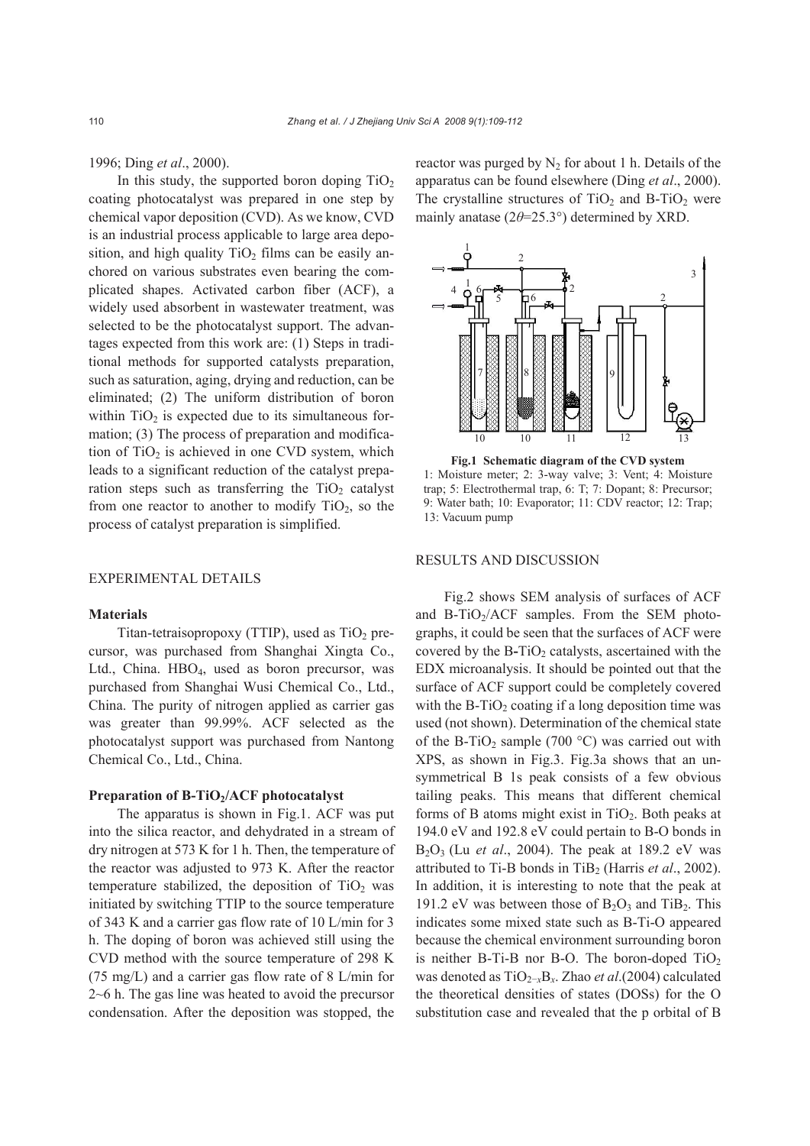1996; Ding *et al*., 2000).

In this study, the supported boron doping  $TiO<sub>2</sub>$ coating photocatalyst was prepared in one step by chemical vapor deposition (CVD). As we know, CVD is an industrial process applicable to large area deposition, and high quality  $TiO<sub>2</sub>$  films can be easily anchored on various substrates even bearing the complicated shapes. Activated carbon fiber (ACF), a widely used absorbent in wastewater treatment, was selected to be the photocatalyst support. The advantages expected from this work are: (1) Steps in traditional methods for supported catalysts preparation, such as saturation, aging, drying and reduction, can be eliminated; (2) The uniform distribution of boron within  $TiO<sub>2</sub>$  is expected due to its simultaneous formation; (3) The process of preparation and modification of  $TiO<sub>2</sub>$  is achieved in one CVD system, which leads to a significant reduction of the catalyst preparation steps such as transferring the  $TiO<sub>2</sub>$  catalyst from one reactor to another to modify  $TiO<sub>2</sub>$ , so the process of catalyst preparation is simplified.

# EXPERIMENTAL DETAILS

## **Materials**

Titan-tetraisopropoxy (TTIP), used as  $TiO<sub>2</sub>$  precursor, was purchased from Shanghai Xingta Co., Ltd., China. HBO<sub>4</sub>, used as boron precursor, was purchased from Shanghai Wusi Chemical Co., Ltd., China. The purity of nitrogen applied as carrier gas was greater than 99.99%. ACF selected as the photocatalyst support was purchased from Nantong Chemical Co., Ltd., China.

# **Preparation of B-TiO2/ACF photocatalyst**

The apparatus is shown in Fig.1. ACF was put into the silica reactor, and dehydrated in a stream of dry nitrogen at 573 K for 1 h. Then, the temperature of the reactor was adjusted to 973 K. After the reactor temperature stabilized, the deposition of  $TiO<sub>2</sub>$  was initiated by switching TTIP to the source temperature of 343 K and a carrier gas flow rate of 10 L/min for 3 h. The doping of boron was achieved still using the CVD method with the source temperature of 298 K (75 mg/L) and a carrier gas flow rate of 8 L/min for 2~6 h. The gas line was heated to avoid the precursor condensation. After the deposition was stopped, the

reactor was purged by  $N_2$  for about 1 h. Details of the apparatus can be found elsewhere (Ding *et al*., 2000). The crystalline structures of  $TiO<sub>2</sub>$  and B-TiO<sub>2</sub> were mainly anatase (2*θ*=25.3°) determined by XRD.



**Fig.1 Schematic diagram of the CVD system**  1: Moisture meter; 2: 3-way valve; 3: Vent; 4: Moisture trap; 5: Electrothermal trap, 6: T; 7: Dopant; 8: Precursor; 9: Water bath; 10: Evaporator; 11: CDV reactor; 12: Trap; 13: Vacuum pump

## RESULTS AND DISCUSSION

Fig.2 shows SEM analysis of surfaces of ACF and B-TiO<sub>2</sub>/ACF samples. From the SEM photographs, it could be seen that the surfaces of ACF were covered by the B-TiO<sub>2</sub> catalysts, ascertained with the EDX microanalysis. It should be pointed out that the surface of ACF support could be completely covered with the  $B-TiO<sub>2</sub>$  coating if a long deposition time was used (not shown). Determination of the chemical state of the B-TiO<sub>2</sub> sample (700 °C) was carried out with XPS, as shown in Fig.3. Fig.3a shows that an unsymmetrical B 1s peak consists of a few obvious tailing peaks. This means that different chemical forms of B atoms might exist in  $TiO<sub>2</sub>$ . Both peaks at 194.0 eV and 192.8 eV could pertain to B-O bonds in B2O3 (Lu *et al*., 2004). The peak at 189.2 eV was attributed to Ti-B bonds in TiB<sub>2</sub> (Harris *et al.*, 2002). In addition, it is interesting to note that the peak at 191.2 eV was between those of  $B_2O_3$  and TiB<sub>2</sub>. This indicates some mixed state such as B-Ti-O appeared because the chemical environment surrounding boron is neither B-Ti-B nor B-O. The boron-doped  $TiO<sub>2</sub>$ was denoted as TiO2−*x*B*x*. Zhao *et al*.(2004) calculated the theoretical densities of states (DOSs) for the O substitution case and revealed that the p orbital of B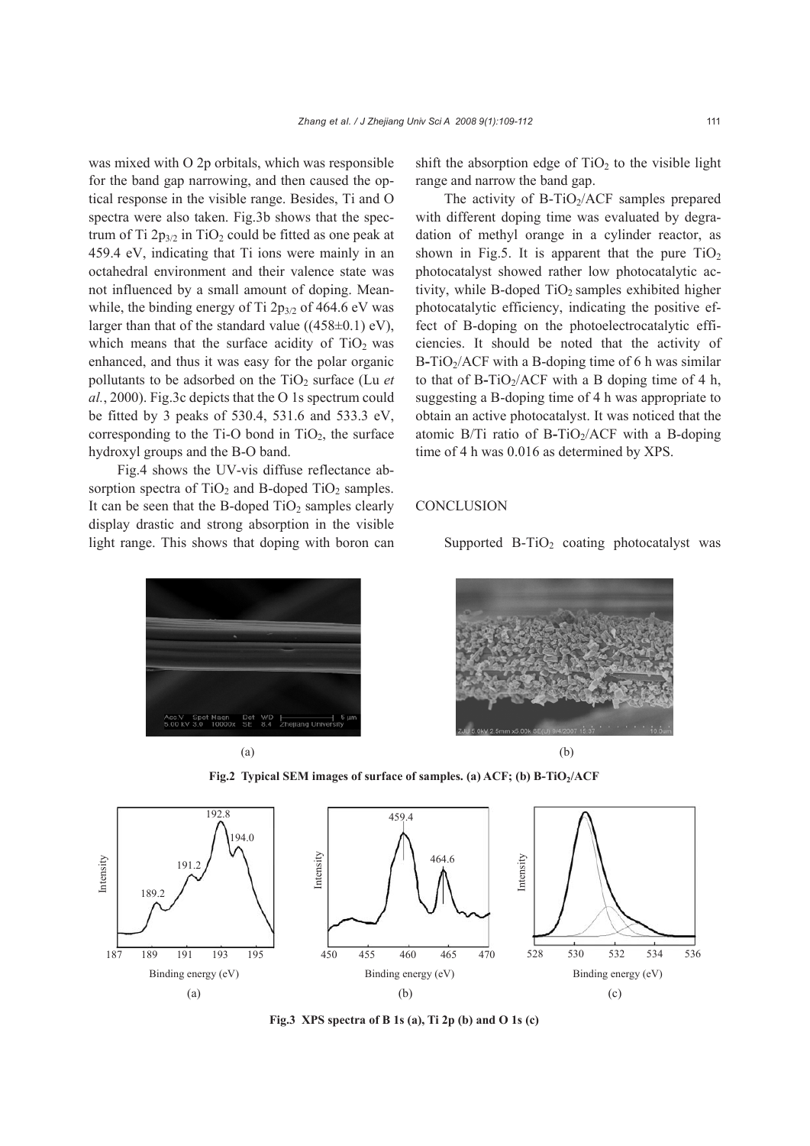was mixed with O 2p orbitals, which was responsible for the band gap narrowing, and then caused the optical response in the visible range. Besides, Ti and O spectra were also taken. Fig.3b shows that the spectrum of Ti  $2p_{3/2}$  in TiO<sub>2</sub> could be fitted as one peak at 459.4 eV, indicating that Ti ions were mainly in an octahedral environment and their valence state was not influenced by a small amount of doping. Meanwhile, the binding energy of Ti  $2p_{3/2}$  of 464.6 eV was larger than that of the standard value  $((458 \pm 0.1)$  eV), which means that the surface acidity of  $TiO<sub>2</sub>$  was enhanced, and thus it was easy for the polar organic pollutants to be adsorbed on the  $TiO<sub>2</sub>$  surface (Lu *et al.*, 2000). Fig.3c depicts that the O 1s spectrum could be fitted by 3 peaks of 530.4, 531.6 and 533.3 eV, corresponding to the Ti-O bond in  $TiO<sub>2</sub>$ , the surface hydroxyl groups and the B-O band.

Fig.4 shows the UV-vis diffuse reflectance absorption spectra of  $TiO<sub>2</sub>$  and B-doped TiO<sub>2</sub> samples. It can be seen that the B-doped  $TiO<sub>2</sub>$  samples clearly display drastic and strong absorption in the visible light range. This shows that doping with boron can shift the absorption edge of  $TiO<sub>2</sub>$  to the visible light range and narrow the band gap.

The activity of B-TiO<sub>2</sub>/ACF samples prepared with different doping time was evaluated by degradation of methyl orange in a cylinder reactor, as shown in Fig.5. It is apparent that the pure  $TiO<sub>2</sub>$ photocatalyst showed rather low photocatalytic activity, while B-doped  $TiO<sub>2</sub>$  samples exhibited higher photocatalytic efficiency, indicating the positive effect of B-doping on the photoelectrocatalytic efficiencies. It should be noted that the activity of B**-**TiO2/ACF with a B-doping time of 6 h was similar to that of B-TiO<sub>2</sub>/ACF with a B doping time of 4 h, suggesting a B-doping time of 4 h was appropriate to obtain an active photocatalyst. It was noticed that the atomic B/Ti ratio of B-TiO<sub>2</sub>/ACF with a B-doping time of 4 h was 0.016 as determined by XPS.

## **CONCLUSION**

Supported  $B-TiO<sub>2</sub>$  coating photocatalyst was





Fig.2 Typical SEM images of surface of samples. (a) ACF; (b) B-TiO<sub>2</sub>/ACF